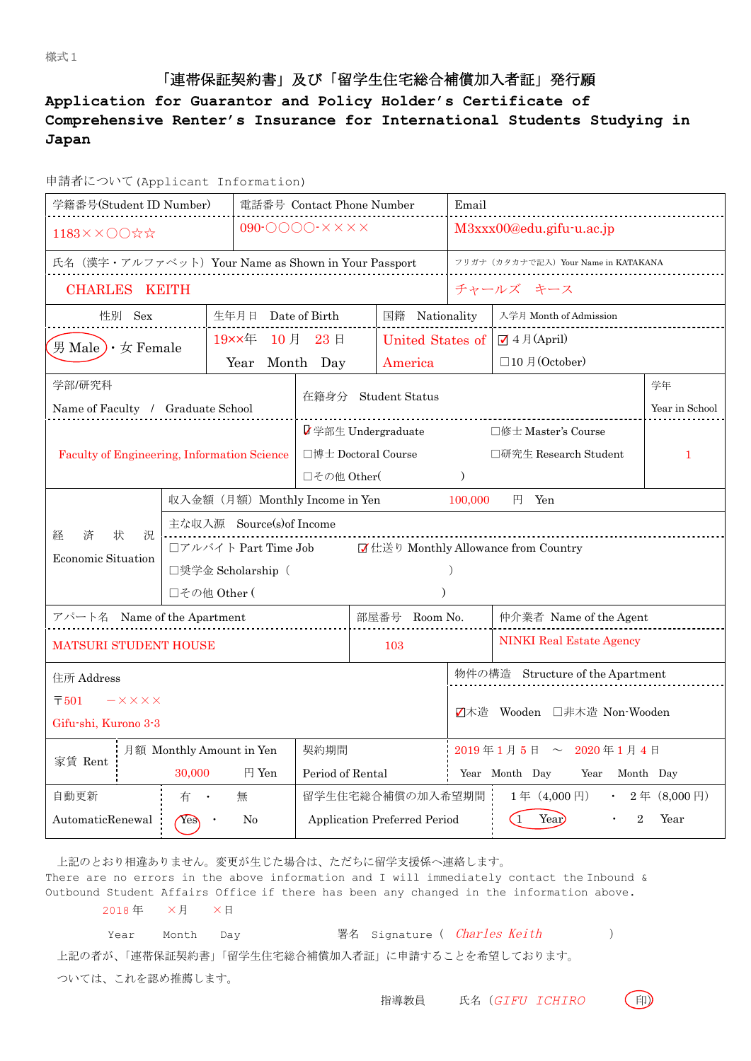# 「連帯保証契約書」及び「留学生住宅総合補償加入者証」発行願

## **Application for Guarantor and Policy Holder's Certificate of Comprehensive Renter's Insurance for International Students Studying in Japan**

| 申請者について(Applicant Information) |  |
|--------------------------------|--|
|--------------------------------|--|

| 学籍番号(Student ID Number)                                                                                            |                                                              |                          |                              | 電話番号 Contact Phone Number                        | Email                            |                                                                                    |    |  |  |
|--------------------------------------------------------------------------------------------------------------------|--------------------------------------------------------------|--------------------------|------------------------------|--------------------------------------------------|----------------------------------|------------------------------------------------------------------------------------|----|--|--|
| 1183××○○☆☆                                                                                                         | $090$ - $0000$ - $\times$ $\times$ $\times$ $\times$         |                          | M3xxx00@edu.gifu-u.ac.jp     |                                                  |                                  |                                                                                    |    |  |  |
| 氏名 (漢字・アルファベット) Your Name as Shown in Your Passport                                                                |                                                              |                          |                              | フリガナ (カタカナで記入) Your Name in KATAKANA             |                                  |                                                                                    |    |  |  |
| <b>CHARLES KEITH</b>                                                                                               |                                                              |                          |                              |                                                  | チャールズ キース                        |                                                                                    |    |  |  |
| 性別 Sex                                                                                                             |                                                              | 生年月日 Date of Birth       | 国籍 Nationality               |                                                  | 入学月 Month of Admission           |                                                                                    |    |  |  |
| 男 Male) $\cdot \neq$ Female                                                                                        |                                                              | 19××年 10月 23日            | United States of             |                                                  | $J$ 4 月(April)                   |                                                                                    |    |  |  |
|                                                                                                                    |                                                              | Year Month Day           |                              | America                                          |                                  | $\Box$ 10月(October)                                                                |    |  |  |
| 学部/研究科                                                                                                             |                                                              |                          |                              |                                                  |                                  |                                                                                    | 学年 |  |  |
| Name of Faculty / Graduate School                                                                                  |                                                              |                          | 在籍身分                         | <b>Student Status</b>                            |                                  | Year in School                                                                     |    |  |  |
|                                                                                                                    |                                                              |                          |                              | ■字部生 Undergraduate                               |                                  | □修士 Master's Course                                                                |    |  |  |
| Faculty of Engineering, Information Science                                                                        |                                                              |                          |                              | 口博士 Doctoral Course                              |                                  | □研究生 Research Student                                                              | 1  |  |  |
|                                                                                                                    |                                                              |                          | □その他 Other(<br>$\mathcal{L}$ |                                                  |                                  |                                                                                    |    |  |  |
|                                                                                                                    | 収入金額 (月額) Monthly Income in Yen<br>100,000<br>$H$ Yen        |                          |                              |                                                  |                                  |                                                                                    |    |  |  |
| 経<br>状<br>済<br>況                                                                                                   | 主な収入源 Source(s)of Income                                     |                          |                              |                                                  |                                  |                                                                                    |    |  |  |
| Economic Situation                                                                                                 | ■ 仕送り Monthly Allowance from Country<br>□アルバイト Part Time Job |                          |                              |                                                  |                                  |                                                                                    |    |  |  |
|                                                                                                                    | □奨学金 Scholarship (                                           |                          |                              |                                                  |                                  |                                                                                    |    |  |  |
|                                                                                                                    | □その他 Other (                                                 |                          |                              |                                                  |                                  |                                                                                    |    |  |  |
| アパート名 Name of the Apartment                                                                                        |                                                              |                          |                              | 部屋番号 Room No.                                    |                                  | 仲介業者 Name of the Agent                                                             |    |  |  |
| <b>MATSURI STUDENT HOUSE</b>                                                                                       |                                                              |                          |                              | 103                                              |                                  | <b>NINKI Real Estate Agency</b>                                                    |    |  |  |
| 住所 Address                                                                                                         |                                                              |                          |                              |                                                  | 物件の構造 Structure of the Apartment |                                                                                    |    |  |  |
| $\overline{\tau}$ 501<br>$-X$ $\times$ $\times$ $\times$                                                           |                                                              |                          |                              |                                                  |                                  |                                                                                    |    |  |  |
| Gifu-shi, Kurono 3-3                                                                                               |                                                              |                          |                              |                                                  | Z木造 Wooden □非木造 Non-Wooden       |                                                                                    |    |  |  |
| 家賃 Rent                                                                                                            |                                                              | 月額 Monthly Amount in Yen | 契約期間                         |                                                  |                                  | $2019 \ncong 1 \nparallel 5 \nparallel \sim 2020 \ncong 1 \nparallel 4 \nparallel$ |    |  |  |
|                                                                                                                    | 30,000                                                       | 円 Yen                    | Period of Rental             |                                                  | Year Month Day<br>Year Month Day |                                                                                    |    |  |  |
| 自動更新<br>有<br>無                                                                                                     |                                                              |                          |                              | 留学生住宅総合補償の加入希望期間<br>1年 (4,000円)<br>• 2年 (8,000円) |                                  |                                                                                    |    |  |  |
| Year<br>AutomaticRenewal<br>Application Preferred Period<br>(1)<br>$\overline{2}$<br>Year<br>N <sub>0</sub><br>Yes |                                                              |                          |                              |                                                  |                                  |                                                                                    |    |  |  |

上記のとおり相違ありません。変更が生じた場合は、ただちに留学支援係へ連絡します。

There are no errors in the above information and I will immediately contact the Inbound  $\&$ Outbound Student Affairs Office if there has been any changed in the information above. 2018 年 ×月 ×日

| Year Month       | Dav |  | 署名 Signature ( <i>Charles Keith</i>             |  |
|------------------|-----|--|-------------------------------------------------|--|
|                  |     |  | 上記の者が、「連帯保証契約書」「留学生住宅総合補償加入者証」に申請することを希望しております。 |  |
| ついては、これを認め推薦します。 |     |  |                                                 |  |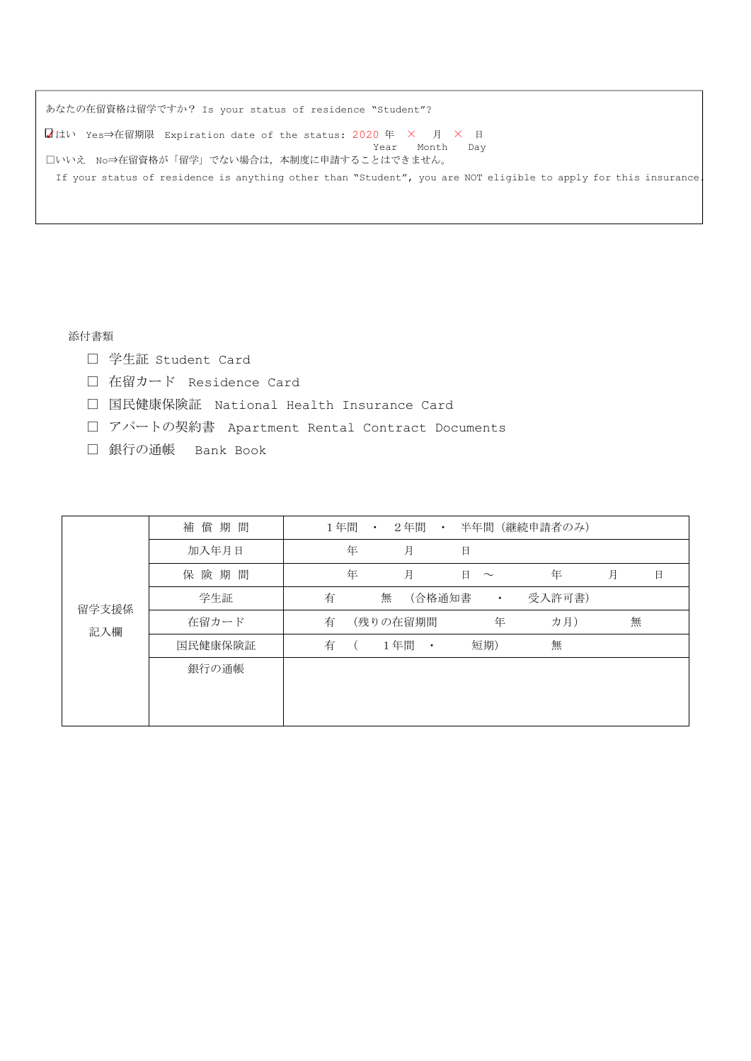| あなたの在留資格は留学ですか? Is your status of residence "Student"?                                                          |
|-----------------------------------------------------------------------------------------------------------------|
| ■はい Yes⇒在留期限 Expiration date of the status: 2020 年 × 月 × 日                                                      |
| Month Dav<br>Year<br>□いいえ No⇒在留資格が「留学」でない場合は,本制度に申請することはできません。                                                  |
|                                                                                                                 |
| If your status of residence is anything other than "Student", you are NOT eligible to apply for this insurance. |

添付書類

- □ 学生証 Student Card
- □ 在留カード Residence Card
- □ 国民健康保険証 National Health Insurance Card
- □ アパートの契約書 Apartment Rental Contract Documents
- □ 銀行の通帳 Bank Book

| 留学支援係<br>記入欄 | 補償期間    | 1年間 | $\bullet$ | 2年間                  | $\bullet$ |             | 半年間(継続申請者のみ) |   |   |   |
|--------------|---------|-----|-----------|----------------------|-----------|-------------|--------------|---|---|---|
|              | 加入年月日   | 年   |           | 月                    |           | 日           |              |   |   |   |
|              | 保険期間    | 年   |           | 月                    |           | 日<br>$\sim$ | 年            | 月 |   | 日 |
|              | 学生証     | 有   | 無         | (合格通知書               |           | $\bullet$   | 受入許可書)       |   |   |   |
|              | 在留カード   | 有   |           | (残りの在留期間             |           | 年           | カ月)          |   | 無 |   |
|              | 国民健康保険証 | 有   |           | 1年間<br>$\sim$ $\sim$ |           | 短期)         | 無            |   |   |   |
|              | 銀行の通帳   |     |           |                      |           |             |              |   |   |   |
|              |         |     |           |                      |           |             |              |   |   |   |
|              |         |     |           |                      |           |             |              |   |   |   |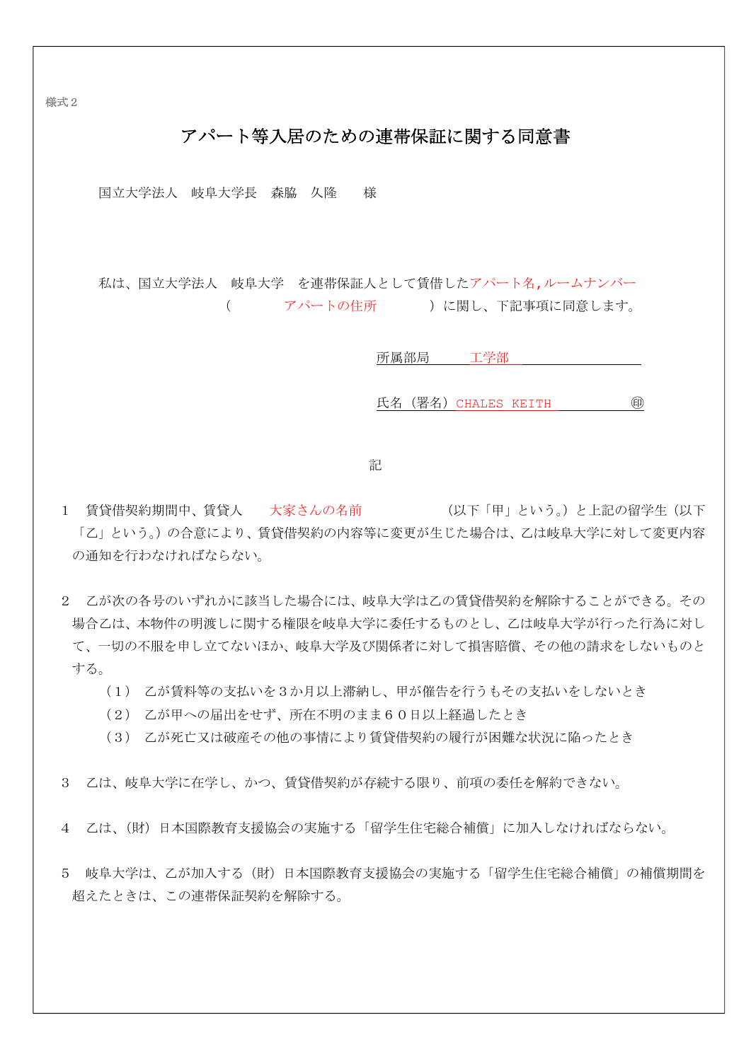様式2

# アパート等入居のための連帯保証に関する同意書

国立大学法人 岐阜大学長 森脇 久隆 様

私は、国立大学法人 岐阜大学 を連帯保証人として賃借したアパート名,ルームナンバー (アパートの住所 )に関し、下記事項に同意します。

所属部局 工学部

氏名(署名)CHALES KEITH ㊞

記

1 賃貸借契約期間中、賃貸人 大家さんの名前 (以下「甲」という。)と上記の留学生(以下 「乙」という。)の合意により、賃貸借契約の内容等に変更が生じた場合は、乙は岐阜大学に対して変更内容 の通知を行わなければならない。

- 2 乙が次の各号のいずれかに該当した場合には、岐阜大学は乙の賃貸借契約を解除することができる。その 場合乙は、本物件の明渡しに関する権限を岐阜大学に委任するものとし、乙は岐阜大学が行った行為に対し て、一切の不服を申し立てないほか、岐阜大学及び関係者に対して損害賠償、その他の請求をしないものと する。
	- (1) 乙が賃料等の支払いを3か月以上滞納し、甲が催告を行うもその支払いをしないとき
	- (2) 乙が甲への届出をせず、所在不明のまま60日以上経過したとき
	- (3) 乙が死亡又は破産その他の事情により賃貸借契約の履行が困難な状況に陥ったとき
- 3 乙は、岐阜大学に在学し、かつ、賃貸借契約が存続する限り、前項の委任を解約できない。
- 4 乙は、(財)日本国際教育支援協会の実施する「留学生住宅総合補償」に加入しなければならない。
- 5 岐阜大学は、乙が加入する(財)日本国際教育支援協会の実施する「留学生住宅総合補償」の補償期間を 超えたときは、この連帯保証契約を解除する。